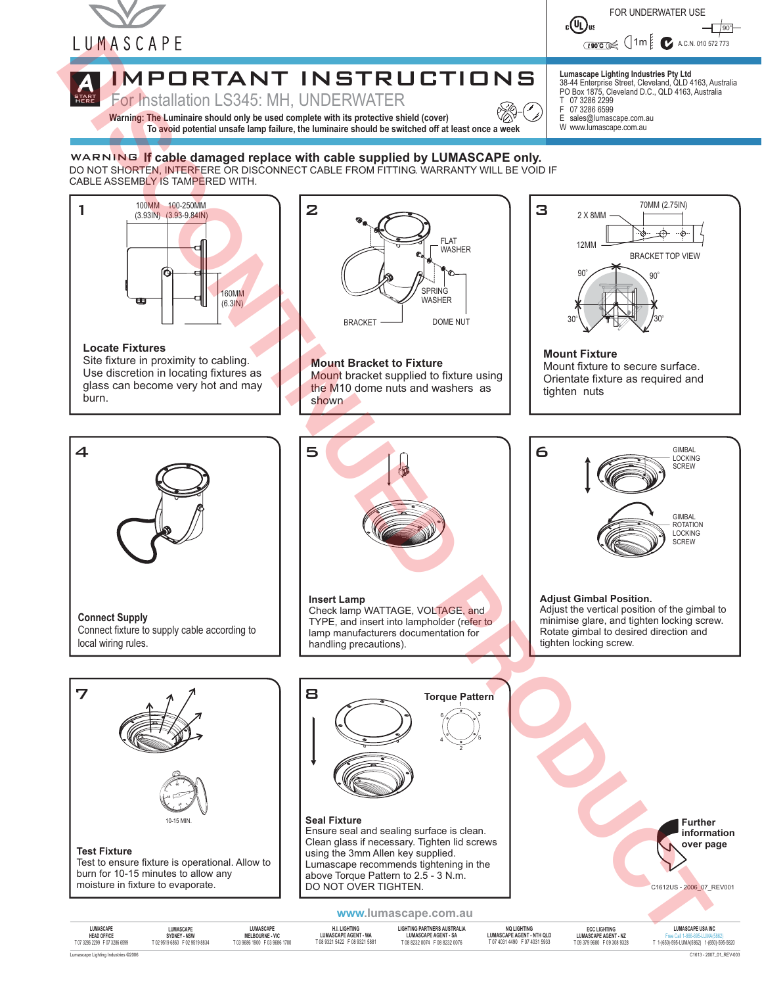

**HERE** 



#### START **A** IMPORTANT INSTRUCTIONS

For Installation LS345: MH, UNDERWATER

**Warning: The Luminaire should only be used complete with its protective shield (cover)**<br>To avoid potential unsafe lamp failure, the luminaire should be switched off at least once a week

**Lumascape Lighting Industries Pty Ltd** 38-44 Enterprise Street, Cleveland, QLD 4163, Australia PO Box 1875, Cleveland D.C., QLD 4163, Australia T 07 3286 2299 F 07 3286 6599

E sales@lumascape.com.au W www.lumascape.com.au

#### WARNING **If cable damaged replace with cable supplied by LUMASCAPE only.** DO NOT SHORTEN, INTERFERE OR DISCONNECT CABLE FROM FITTING. WARRANTY WILL BE VOID IF CABLE ASSEMBLY IS TAMPERED WITH.



Site fixture in proximity to cabling. Use discretion in locating fixtures as glass can become very hot and may burn.



**Mount Bracket to Fixture** Mount bracket supplied to fixture using the M10 dome nuts and washers as shown



Orientate fixture as required and tighten nuts

> GIMBAL LOCKING **SCREW**

GIMBAL ROTATION LOCKING **SCREW** 



**Connect Supply** Connect fixture to supply cable according to local wiring rules.



**Insert Lamp** Check lamp WATTAGE, VOLTAGE, and TYPE, and insert into lampholder (refer to lamp manufacturers documentation for handling precautions).



**LUMASCAPE SYDNEY - NSW**<br>T02 9519 6860 F02 9519 8834

**LUMASCAPE MELBOURNE - VIC** T 03 9686 1900 F 03 9686 1700

**H.I. LIGHTING LUMASCAPE AGENT - WA** T 08 9321 5422 F 08 9321 5881

**Seal Fixture**

**LUMASCAPE AGENT - SA** T 08 8232 0074 F 08 8232 0076

**LUMASCAPE HEAD OFFICE**<br>T07 3286 2299 F07 3286 6599

**Test Fixture**

10-15 MIN.

Test to ensure fixture is operational. Allow to burn for 10-15 minutes to allow any

**60 30 45**

 $\overline{7}$   $\overline{1}$   $\overline{2}$   $\overline{3}$   $\overline{3}$   $\overline{3}$   $\overline{3}$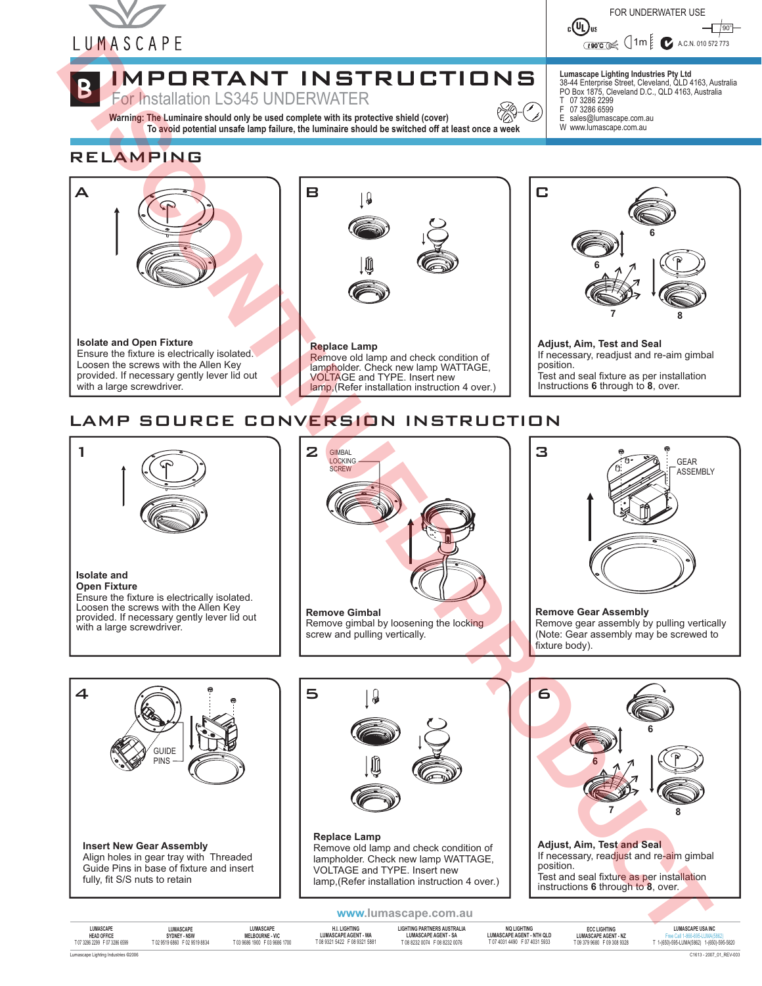



*t* **90°C** ( 1m  $\left| \bigcup_{i=1}^{n} A_i C_i N_i \right|$  910 5

#### **B** IMPORTANT INSTRUCTIONS

For Installation LS345 UNDERWATER

**Warning: The Luminaire should only be used complete with its protective shield (cover)**<br>To avoid potential unsafe lamp failure, the luminaire should be switched off at least once a week

**Lumascape Lighting Industries Pty Ltd** 38-44 Enterprise Street, Cleveland, QLD 4163, Australia PO Box 1875, Cleveland D.C., QLD 4163, Australia T 07 3286 2299 F 07 3286 6599

E sales@lumascape.com.au W www.lumascape.com.au

### RELAMPING



### LAMP SOURCE CONVERSION INSTRUCTION



**LUMASCAPE AGENT - SA** T 08 8232 0074 F 08 8232 0076

Lumascape Lighting Industries 2006 **©** C1613 - 2007\_01\_REV-003 **SYDNEY - NSW**<br>T02 9519 6860 F02 9519 8834

**MELBOURNE - VIC** T 03 9686 1900 F 03 9686 1700

T 08 9321 5422 F 08 9321 5881

**HEAD OFFICE**<br>T07 3286 2299 F07 3286 6599

T 07 4031 4490 F 07 4031 5933